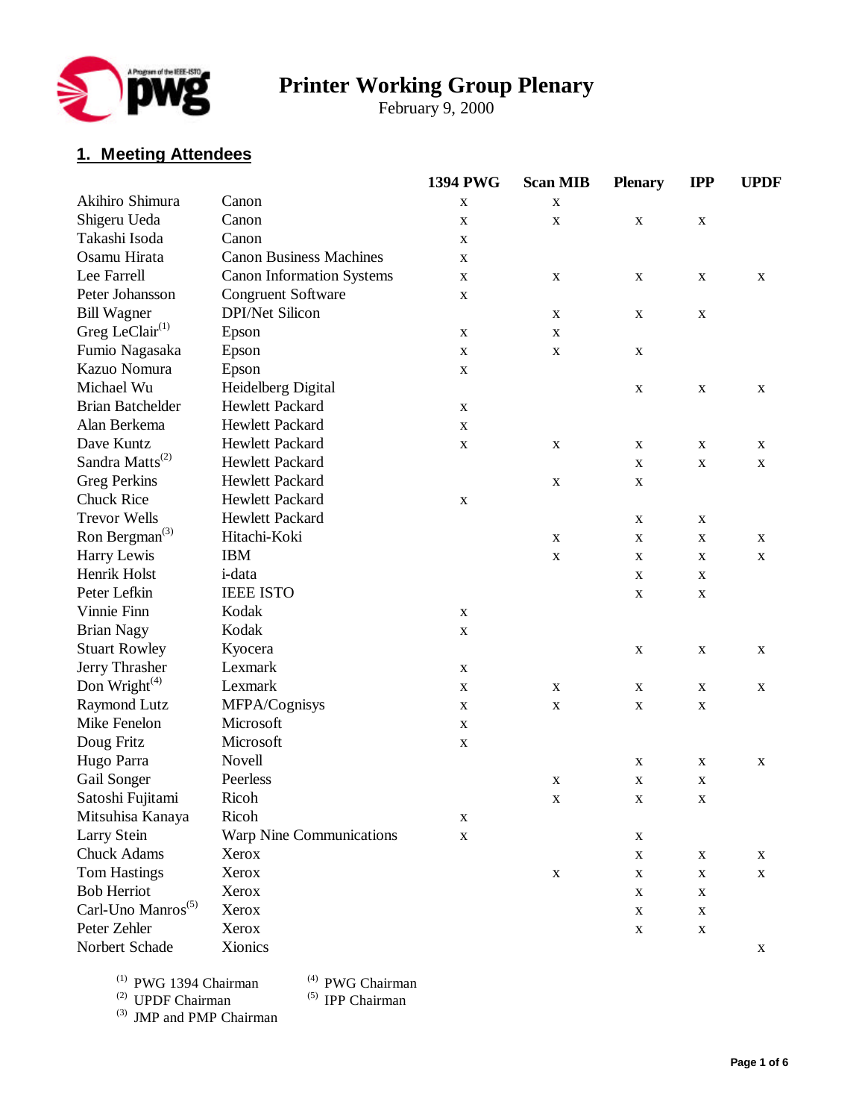

# **Printer Working Group Plenary**

February 9, 2000

# **1. Meeting Attendees**

|                                         |                                  | 1394 PWG    | <b>Scan MIB</b> | <b>Plenary</b> | <b>IPP</b>  | <b>UPDF</b> |
|-----------------------------------------|----------------------------------|-------------|-----------------|----------------|-------------|-------------|
| Akihiro Shimura                         | Canon                            | $\mathbf X$ | X               |                |             |             |
| Shigeru Ueda                            | Canon                            | $\mathbf X$ | X               | $\mathbf X$    | X           |             |
| Takashi Isoda                           | Canon                            | X           |                 |                |             |             |
| Osamu Hirata                            | <b>Canon Business Machines</b>   | $\mathbf X$ |                 |                |             |             |
| Lee Farrell                             | <b>Canon Information Systems</b> | $\mathbf X$ | X               | X              | $\mathbf X$ | $\mathbf X$ |
| Peter Johansson                         | <b>Congruent Software</b>        | $\mathbf X$ |                 |                |             |             |
| <b>Bill Wagner</b>                      | <b>DPI/Net Silicon</b>           |             | X               | $\mathbf X$    | X           |             |
| Greg LeClair <sup>(1)</sup>             | Epson                            | X           | X               |                |             |             |
| Fumio Nagasaka                          | Epson                            | $\mathbf X$ | X               | $\mathbf X$    |             |             |
| Kazuo Nomura                            | Epson                            | $\mathbf X$ |                 |                |             |             |
| Michael Wu                              | <b>Heidelberg Digital</b>        |             |                 | $\mathbf X$    | $\mathbf X$ | X           |
| <b>Brian Batchelder</b>                 | Hewlett Packard                  | X           |                 |                |             |             |
| Alan Berkema                            | Hewlett Packard                  | X           |                 |                |             |             |
| Dave Kuntz                              | Hewlett Packard                  | $\mathbf X$ | X               | $\mathbf X$    | X           | X           |
| Sandra Matts <sup>(2)</sup>             | Hewlett Packard                  |             |                 | $\mathbf X$    | $\mathbf X$ | $\mathbf X$ |
| <b>Greg Perkins</b>                     | Hewlett Packard                  |             | X               | $\mathbf X$    |             |             |
| <b>Chuck Rice</b>                       | Hewlett Packard                  | $\mathbf X$ |                 |                |             |             |
| <b>Trevor Wells</b>                     | Hewlett Packard                  |             |                 | $\mathbf X$    | X           |             |
| Ron Bergman <sup><math>(3)</math></sup> | Hitachi-Koki                     |             | X               | $\mathbf X$    | $\mathbf X$ | $\mathbf X$ |
| Harry Lewis                             | <b>IBM</b>                       |             | X               | $\mathbf X$    | X           | $\mathbf X$ |
| Henrik Holst                            | <i>i</i> -data                   |             |                 | $\mathbf X$    | X           |             |
| Peter Lefkin                            | <b>IEEE ISTO</b>                 |             |                 | $\mathbf X$    | $\mathbf X$ |             |
| Vinnie Finn                             | Kodak                            | X           |                 |                |             |             |
| <b>Brian Nagy</b>                       | Kodak                            | $\mathbf X$ |                 |                |             |             |
| <b>Stuart Rowley</b>                    | Kyocera                          |             |                 | $\mathbf X$    | $\mathbf X$ | $\mathbf X$ |
| Jerry Thrasher                          | Lexmark                          | $\mathbf X$ |                 |                |             |             |
| Don Wright $(4)$                        | Lexmark                          | X           | X               | $\mathbf X$    | X           | X           |
| Raymond Lutz                            | MFPA/Cognisys                    | X           | X               | X              | X           |             |
| Mike Fenelon                            | Microsoft                        | $\mathbf X$ |                 |                |             |             |
| Doug Fritz                              | Microsoft                        | $\mathbf X$ |                 |                |             |             |
| Hugo Parra                              | Novell                           |             |                 | $\mathbf X$    | X           | X           |
| Gail Songer                             | Peerless                         |             | X               | $\mathbf X$    | X           |             |
| Satoshi Fujitami                        | Ricoh                            |             | X               | X              | X           |             |
| Mitsuhisa Kanaya                        | Ricoh                            | X           |                 |                |             |             |
| Larry Stein                             | Warp Nine Communications         | $\mathbf X$ |                 | $\mathbf X$    |             |             |
| Chuck Adams                             | Xerox                            |             |                 | $\mathbf X$    | $\mathbf X$ | X           |
| <b>Tom Hastings</b>                     | Xerox                            |             | $\mathbf X$     | $\mathbf X$    | X           | X           |
| <b>Bob Herriot</b>                      | Xerox                            |             |                 | $\mathbf X$    | X           |             |
| Carl-Uno Manros <sup>(5)</sup>          | Xerox                            |             |                 | $\mathbf X$    | X           |             |
| Peter Zehler                            | Xerox                            |             |                 | $\mathbf X$    | $\mathbf X$ |             |
| Norbert Schade                          | Xionics                          |             |                 |                |             | $\mathbf X$ |
|                                         |                                  |             |                 |                |             |             |

(1) PWG 1394 Chairman (4) PWG Chairman (2) UPDF Chairman (5) IPP Chairman

 $^{(2)}$  UPDF Chairman  $^{(5)}$  IPP Chairman

(3) JMP and PMP Chairman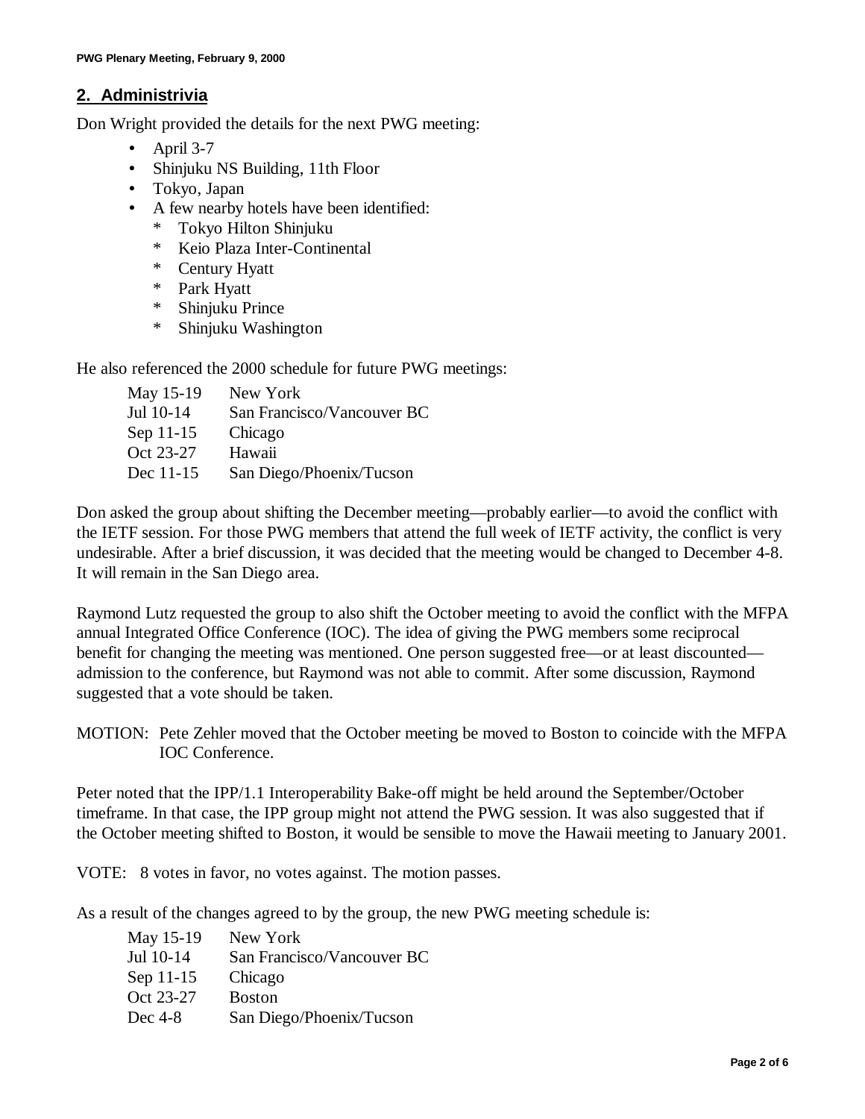## **2. Administrivia**

Don Wright provided the details for the next PWG meeting:

- April  $3-7$
- Shinjuku NS Building, 11th Floor
- Tokyo, Japan
- A few nearby hotels have been identified:
	- \* Tokyo Hilton Shinjuku
	- \* Keio Plaza Inter-Continental
	- \* Century Hyatt
	- \* Park Hyatt
	- \* Shinjuku Prince
	- \* Shinjuku Washington

He also referenced the 2000 schedule for future PWG meetings:

| New York                   |
|----------------------------|
| San Francisco/Vancouver BC |
| Chicago                    |
| Hawaii                     |
| San Diego/Phoenix/Tucson   |
|                            |

Don asked the group about shifting the December meeting— probably earlier— to avoid the conflict with the IETF session. For those PWG members that attend the full week of IETF activity, the conflict is very undesirable. After a brief discussion, it was decided that the meeting would be changed to December 4-8. It will remain in the San Diego area.

Raymond Lutz requested the group to also shift the October meeting to avoid the conflict with the MFPA annual Integrated Office Conference (IOC). The idea of giving the PWG members some reciprocal benefit for changing the meeting was mentioned. One person suggested free— or at least discounted admission to the conference, but Raymond was not able to commit. After some discussion, Raymond suggested that a vote should be taken.

MOTION: Pete Zehler moved that the October meeting be moved to Boston to coincide with the MFPA IOC Conference.

Peter noted that the IPP/1.1 Interoperability Bake-off might be held around the September/October timeframe. In that case, the IPP group might not attend the PWG session. It was also suggested that if the October meeting shifted to Boston, it would be sensible to move the Hawaii meeting to January 2001.

VOTE: 8 votes in favor, no votes against. The motion passes.

As a result of the changes agreed to by the group, the new PWG meeting schedule is:

| May 15-19 | New York                   |
|-----------|----------------------------|
| Jul 10-14 | San Francisco/Vancouver BC |
| Sep 11-15 | Chicago                    |
| Oct 23-27 | <b>Boston</b>              |
| Dec $4-8$ | San Diego/Phoenix/Tucson   |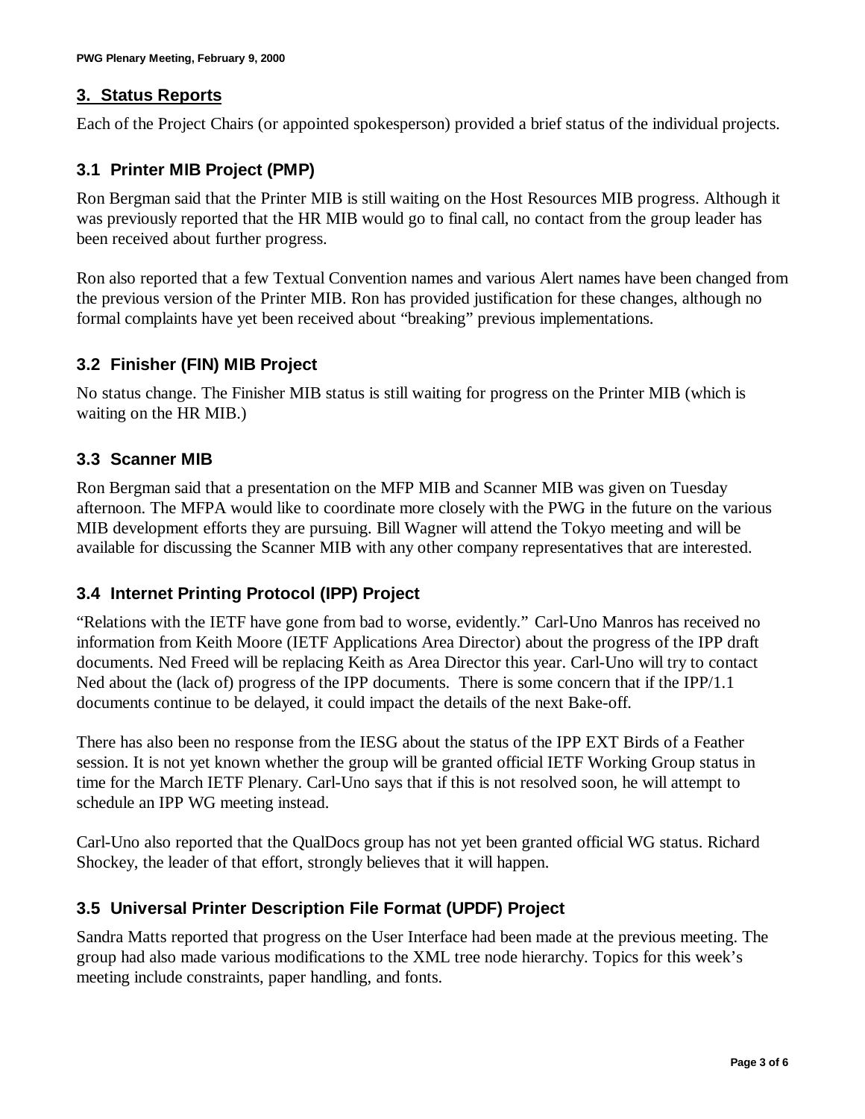### **3. Status Reports**

Each of the Project Chairs (or appointed spokesperson) provided a brief status of the individual projects.

# **3.1 Printer MIB Project (PMP)**

Ron Bergman said that the Printer MIB is still waiting on the Host Resources MIB progress. Although it was previously reported that the HR MIB would go to final call, no contact from the group leader has been received about further progress.

Ron also reported that a few Textual Convention names and various Alert names have been changed from the previous version of the Printer MIB. Ron has provided justification for these changes, although no formal complaints have yet been received about "breaking" previous implementations.

# **3.2 Finisher (FIN) MIB Project**

No status change. The Finisher MIB status is still waiting for progress on the Printer MIB (which is waiting on the HR MIB.)

## **3.3 Scanner MIB**

Ron Bergman said that a presentation on the MFP MIB and Scanner MIB was given on Tuesday afternoon. The MFPA would like to coordinate more closely with the PWG in the future on the various MIB development efforts they are pursuing. Bill Wagner will attend the Tokyo meeting and will be available for discussing the Scanner MIB with any other company representatives that are interested.

#### **3.4 Internet Printing Protocol (IPP) Project**

"Relations with the IETF have gone from bad to worse, evidently." Carl-Uno Manros has received no information from Keith Moore (IETF Applications Area Director) about the progress of the IPP draft documents. Ned Freed will be replacing Keith as Area Director this year. Carl-Uno will try to contact Ned about the (lack of) progress of the IPP documents. There is some concern that if the IPP/1.1 documents continue to be delayed, it could impact the details of the next Bake-off.

There has also been no response from the IESG about the status of the IPP EXT Birds of a Feather session. It is not yet known whether the group will be granted official IETF Working Group status in time for the March IETF Plenary. Carl-Uno says that if this is not resolved soon, he will attempt to schedule an IPP WG meeting instead.

Carl-Uno also reported that the QualDocs group has not yet been granted official WG status. Richard Shockey, the leader of that effort, strongly believes that it will happen.

# **3.5 Universal Printer Description File Format (UPDF) Project**

Sandra Matts reported that progress on the User Interface had been made at the previous meeting. The group had also made various modifications to the XML tree node hierarchy. Topics for this week's meeting include constraints, paper handling, and fonts.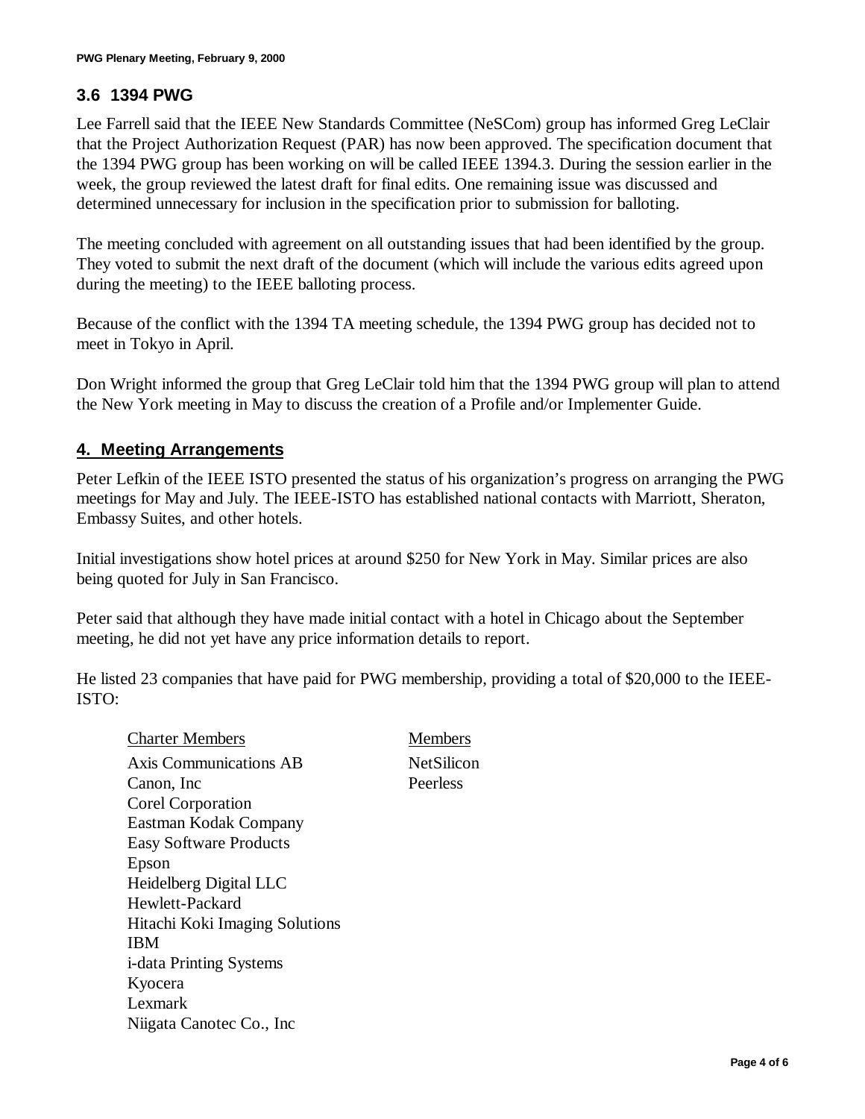## **3.6 1394 PWG**

Lee Farrell said that the IEEE New Standards Committee (NeSCom) group has informed Greg LeClair that the Project Authorization Request (PAR) has now been approved. The specification document that the 1394 PWG group has been working on will be called IEEE 1394.3. During the session earlier in the week, the group reviewed the latest draft for final edits. One remaining issue was discussed and determined unnecessary for inclusion in the specification prior to submission for balloting.

The meeting concluded with agreement on all outstanding issues that had been identified by the group. They voted to submit the next draft of the document (which will include the various edits agreed upon during the meeting) to the IEEE balloting process.

Because of the conflict with the 1394 TA meeting schedule, the 1394 PWG group has decided not to meet in Tokyo in April.

Don Wright informed the group that Greg LeClair told him that the 1394 PWG group will plan to attend the New York meeting in May to discuss the creation of a Profile and/or Implementer Guide.

#### **4. Meeting Arrangements**

Peter Lefkin of the IEEE ISTO presented the status of his organization's progress on arranging the PWG meetings for May and July. The IEEE-ISTO has established national contacts with Marriott, Sheraton, Embassy Suites, and other hotels.

Initial investigations show hotel prices at around \$250 for New York in May. Similar prices are also being quoted for July in San Francisco.

Peter said that although they have made initial contact with a hotel in Chicago about the September meeting, he did not yet have any price information details to report.

He listed 23 companies that have paid for PWG membership, providing a total of \$20,000 to the IEEE-ISTO:

Charter Members Members Axis Communications AB NetSilicon Canon, Inc Peerless Corel Corporation Eastman Kodak Company Easy Software Products Epson Heidelberg Digital LLC Hewlett-Packard Hitachi Koki Imaging Solutions IBM i-data Printing Systems Kyocera Lexmark Niigata Canotec Co., Inc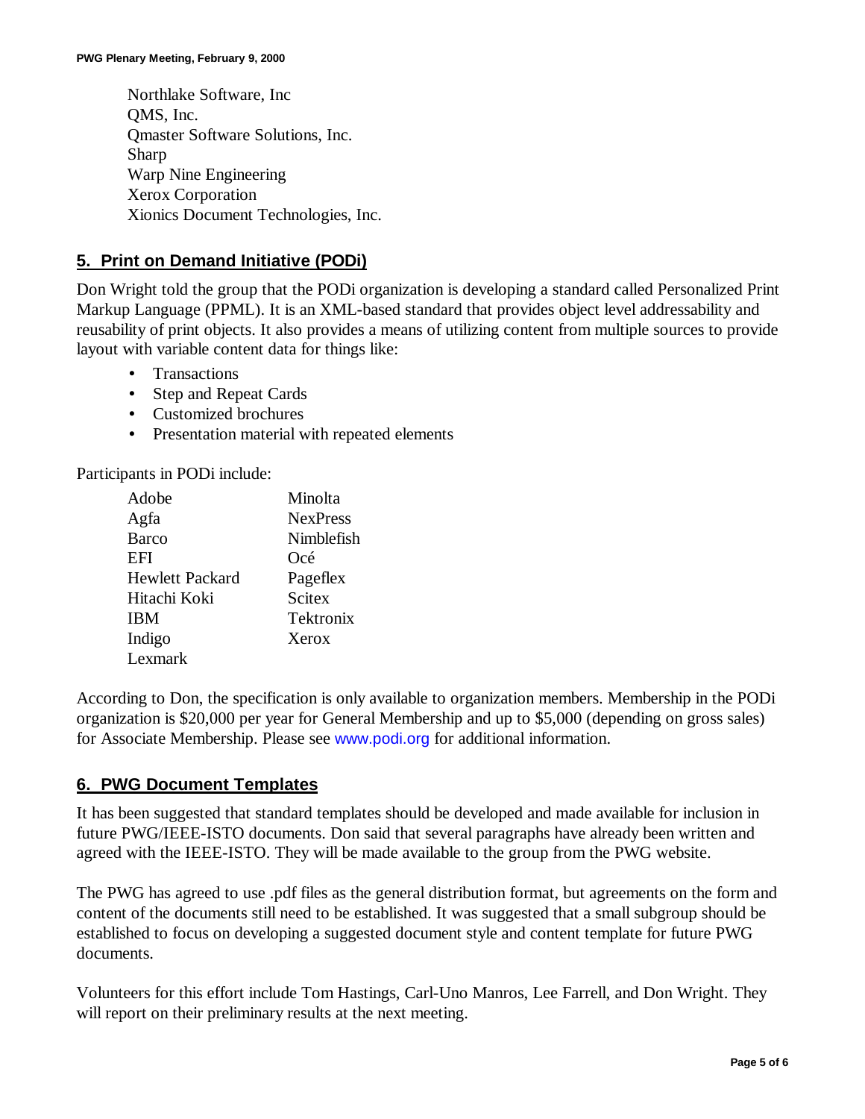Northlake Software, Inc QMS, Inc. Qmaster Software Solutions, Inc. Sharp Warp Nine Engineering Xerox Corporation Xionics Document Technologies, Inc.

## **5. Print on Demand Initiative (PODi)**

Don Wright told the group that the PODi organization is developing a standard called Personalized Print Markup Language (PPML). It is an XML-based standard that provides object level addressability and reusability of print objects. It also provides a means of utilizing content from multiple sources to provide layout with variable content data for things like:

- Transactions
- Step and Repeat Cards
- Customized brochures
- Presentation material with repeated elements

Participants in PODi include:

| Adobe                  | Minolta         |
|------------------------|-----------------|
| Agfa                   | <b>NexPress</b> |
| Barco                  | Nimblefish      |
| EFI                    | Océ             |
| <b>Hewlett Packard</b> | Pageflex        |
| Hitachi Koki           | <b>Scitex</b>   |
| <b>IBM</b>             | Tektronix       |
| Indigo                 | Xerox           |
| Lexmark                |                 |

According to Don, the specification is only available to organization members. Membership in the PODi organization is \$20,000 per year for General Membership and up to \$5,000 (depending on gross sales) for Associate Membership. Please see www.podi.org for additional information.

#### **6. PWG Document Templates**

It has been suggested that standard templates should be developed and made available for inclusion in future PWG/IEEE-ISTO documents. Don said that several paragraphs have already been written and agreed with the IEEE-ISTO. They will be made available to the group from the PWG website.

The PWG has agreed to use .pdf files as the general distribution format, but agreements on the form and content of the documents still need to be established. It was suggested that a small subgroup should be established to focus on developing a suggested document style and content template for future PWG documents.

Volunteers for this effort include Tom Hastings, Carl-Uno Manros, Lee Farrell, and Don Wright. They will report on their preliminary results at the next meeting.